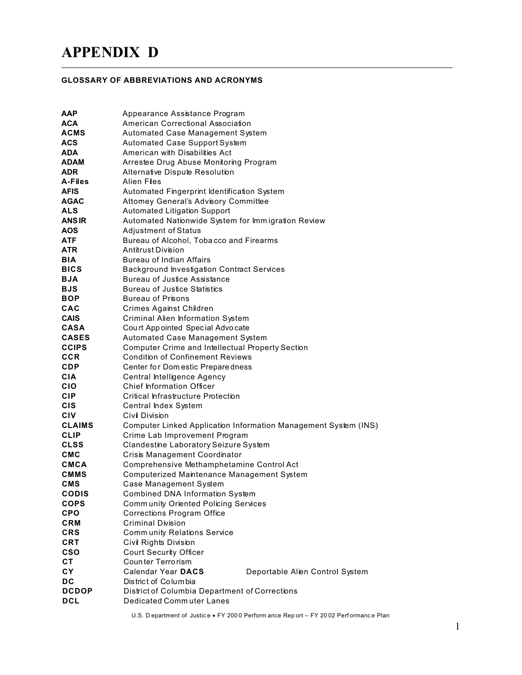## **APPENDIX D**

## **GLOSSARY OF ABBREVIATIONS AND ACRONYMS**

| ААР           | Appearance Assistance Program                                   |  |  |
|---------------|-----------------------------------------------------------------|--|--|
| ACA           | American Correctional Association                               |  |  |
| ACMS          | <b>Automated Case Management System</b>                         |  |  |
| <b>ACS</b>    | Automated Case Support System                                   |  |  |
| <b>ADA</b>    | American with Disabilities Act                                  |  |  |
| ADAM          | Arrestee Drug Abuse Monitoring Program                          |  |  |
| <b>ADR</b>    | Alternative Dispute Resolution                                  |  |  |
| A-Files       | Alien Files                                                     |  |  |
| <b>AFIS</b>   | Automated Fingerprint Identification System                     |  |  |
| <b>AGAC</b>   | Attomey General's Advisory Committee                            |  |  |
| ALS           | <b>Automated Litigation Support</b>                             |  |  |
| <b>ANS IR</b> | Automated Nationwide System for Immigration Review              |  |  |
| <b>AOS</b>    | <b>Adjustment of Status</b>                                     |  |  |
| ATF.          | Bureau of Alcohol, Tobacco and Firearms                         |  |  |
| <b>ATR</b>    | Antitrust Division                                              |  |  |
| BIA           | Bureau of Indian Affairs                                        |  |  |
| <b>BICS</b>   | <b>Background Investigation Contract Services</b>               |  |  |
| <b>BJA</b>    | <b>Bureau of Justice Assistance</b>                             |  |  |
| <b>BJS</b>    | <b>Bureau of Justice Statistics</b>                             |  |  |
| <b>BOP</b>    | <b>Bureau of Prisons</b>                                        |  |  |
| CAC           | <b>Crimes Against Children</b>                                  |  |  |
| <b>CAIS</b>   | <b>Criminal Alien Information System</b>                        |  |  |
| <b>CASA</b>   | Court Appointed Special Advocate                                |  |  |
| <b>CASES</b>  | <b>Automated Case Management System</b>                         |  |  |
| <b>CCIPS</b>  | <b>Computer Crime and Intellectual Property Section</b>         |  |  |
| <b>CCR</b>    | <b>Condition of Confinement Reviews</b>                         |  |  |
| <b>CDP</b>    | Center for Dom estic Prepare dness                              |  |  |
| <b>CIA</b>    | Central Intelligence Agency                                     |  |  |
| <b>CIO</b>    | <b>Chief Information Officer</b>                                |  |  |
| <b>CIP</b>    | <b>Critical Infrastructure Protection</b>                       |  |  |
| CIS           | Central Index System                                            |  |  |
| CIV           | Civil Division                                                  |  |  |
| <b>CLAIMS</b> | Computer Linked Application Information Management System (INS) |  |  |
| <b>CLIP</b>   | Crime Lab Improvement Program                                   |  |  |
| <b>CLSS</b>   | Clandestine Laboratory Seizure System                           |  |  |
| CMC           | Crisis Management Coordinator                                   |  |  |
| CMCA          | Comprehensive Methamphetamine Control Act                       |  |  |
| <b>CMMS</b>   | Computerized Maintenance Management System                      |  |  |
| CMS           | Case Management System                                          |  |  |
| <b>CODIS</b>  | Combined DNA Information System                                 |  |  |
| <b>COPS</b>   | Community Oriented Policing Services                            |  |  |
| <b>CPO</b>    | <b>Corrections Program Office</b>                               |  |  |
| <b>CRM</b>    | <b>Criminal Division</b>                                        |  |  |
| <b>CRS</b>    | <b>Community Relations Service</b>                              |  |  |
| <b>CRT</b>    | Civil Rights Division                                           |  |  |
| <b>CSO</b>    | <b>Court Security Officer</b>                                   |  |  |
| <b>CT</b>     | Counter Terrorism                                               |  |  |
| CY            | Calendar Year DACS<br>Deportable Alien Control System           |  |  |
| DC            | District of Columbia                                            |  |  |
| <b>DCDOP</b>  | District of Columbia Department of Corrections                  |  |  |
| <b>DCL</b>    | <b>Dedicated Commuter Lanes</b>                                 |  |  |

U.S. Department of Justice FY 2000 Perform ance Rep ort - FY 2002 Performance Plan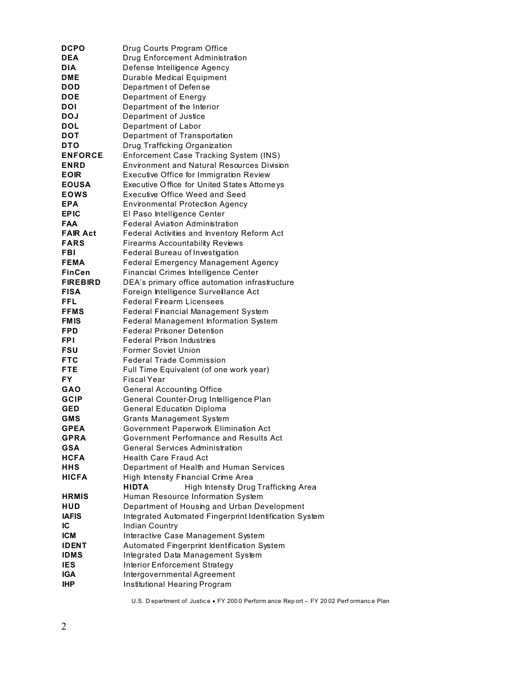| <b>DCPO</b>                | Drug Courts Program Office                                                     |
|----------------------------|--------------------------------------------------------------------------------|
| <b>DEA</b>                 | Drug Enforcement Administration                                                |
| <b>DIA</b>                 | Defense Intelligence Agency                                                    |
| DME                        | Durable Medical Equipment                                                      |
| DOD                        | Department of Defense                                                          |
| <b>DOE</b>                 | Department of Energy                                                           |
| <b>DOI</b>                 | Department of the Interior                                                     |
| <b>DOJ</b>                 | Department of Justice                                                          |
| <b>DOL</b>                 | Department of Labor                                                            |
| <b>DOT</b>                 | Department of Transportation                                                   |
| <b>DTO</b>                 | Drug Trafficking Organization                                                  |
| <b>ENFORCE</b>             | Enforcement Case Tracking System (INS)                                         |
| <b>ENRD</b>                | <b>Environment and Natural Resources Division</b>                              |
| <b>EOIR</b>                | Executive Office for Immigration Review                                        |
| <b>EOUSA</b>               | Executive Office for United States Attorneys                                   |
| <b>EOWS</b>                | Executive Office Weed and Seed                                                 |
| <b>EPA</b>                 | <b>Environmental Protection Agency</b>                                         |
| <b>EPIC</b>                | El Paso Intelligence Center                                                    |
| FAA                        | <b>Federal Aviation Administration</b>                                         |
| <b>FAIR Act</b>            | Federal Activities and Inventory Reform Act                                    |
| <b>FARS</b>                | <b>Firearms Accountability Reviews</b>                                         |
| FBI                        | Federal Bureau of Investigation                                                |
| <b>FEMA</b>                | <b>Federal Emergency Management Agency</b>                                     |
| <b>FinCen</b>              | <b>Financial Crimes Intelligence Center</b>                                    |
| <b>FIREBIRD</b>            | DEA's primary office automation infrastructure                                 |
| <b>FISA</b>                | Foreign Intelligence Surveillance Act                                          |
| FFL                        | <b>Federal Firearm Licensees</b>                                               |
| <b>FFMS</b>                | <b>Federal Financial Management System</b>                                     |
| <b>FMIS</b>                | <b>Federal Management Information System</b>                                   |
| <b>FPD</b>                 | <b>Federal Prisoner Detention</b>                                              |
| <b>FPI</b>                 | Federal Prison Industries                                                      |
| FSU                        | <b>Former Soviet Union</b>                                                     |
| <b>FTC</b>                 | <b>Federal Trade Commission</b>                                                |
| <b>FTE</b>                 | Full Time Equivalent (of one work year)                                        |
| FY.                        | Fiscal Year                                                                    |
| <b>GAO</b>                 | <b>General Accounting Office</b>                                               |
| GCIP                       | General Counter-Drug Intelligence Plan                                         |
| GED                        | <b>General Education Diploma</b>                                               |
| GMS                        | <b>Grants Management System</b>                                                |
| <b>GPEA</b><br><b>GPRA</b> | Government Paperwork Elimination Act<br>Government Performance and Results Act |
| <b>GSA</b>                 | <b>General Services Administration</b>                                         |
| <b>HCFA</b>                | <b>Health Care Fraud Act</b>                                                   |
| HHS                        | Department of Health and Human Services                                        |
| <b>HICFA</b>               | High Intensity Financial Crime Area                                            |
|                            | <b>HIDTA</b><br>High Intensity Drug Trafficking Area                           |
| <b>HRMIS</b>               | Human Resource Information System                                              |
| HUD                        | Department of Housing and Urban Development                                    |
| <b>IAFIS</b>               | Integrated Automated Fingerprint Identification System                         |
| IС                         | <b>Indian Country</b>                                                          |
| <b>ICM</b>                 | Interactive Case Management System                                             |
| <b>IDENT</b>               | Automated Fingerprint Identification System                                    |
| <b>IDMS</b>                | Integrated Data Management System                                              |
| <b>IES</b>                 | <b>Interior Enforcement Strategy</b>                                           |
| <b>IGA</b>                 | Intergovernmental Agreement                                                    |
| <b>IHP</b>                 | Institutional Hearing Program                                                  |
|                            |                                                                                |

U.S. Department of Justice FY 2000 Perform ance Report - FY 2002 Performance Plan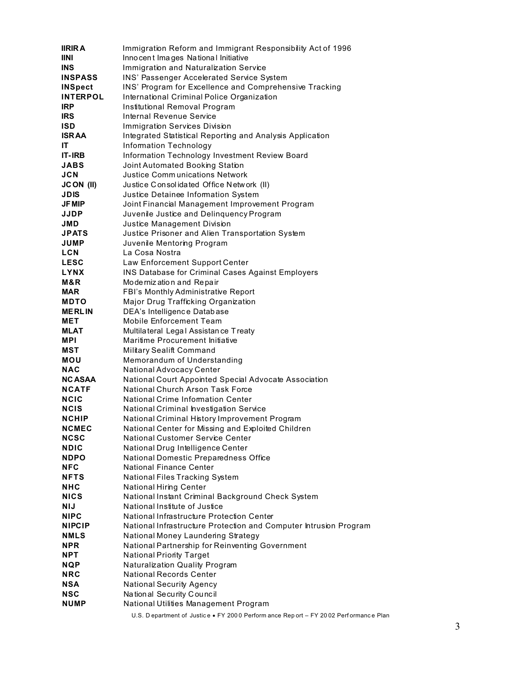| <b>IIRIRA</b>                | Immigration Reform and Immigrant Responsibility Act of 1996                                   |
|------------------------------|-----------------------------------------------------------------------------------------------|
| <b>IINI</b>                  | Inno cent Images National Initiative                                                          |
| <b>INS</b>                   | Immigration and Naturalization Service                                                        |
| <b>INSPASS</b>               | INS' Passenger Accelerated Service System                                                     |
| <b>INSpect</b>               | INS' Program for Excellence and Comprehensive Tracking                                        |
| <b>INTERPOL</b>              | International Criminal Police Organization                                                    |
| <b>IRP</b>                   | Institutional Removal Program                                                                 |
| <b>IRS</b>                   | Internal Revenue Service                                                                      |
| <b>ISD</b>                   | <b>Immigration Services Division</b>                                                          |
| <b>ISRAA</b>                 | Integrated Statistical Reporting and Analysis Application                                     |
| IT.                          | Information Technology                                                                        |
| <b>IT-IRB</b>                | Information Technology Investment Review Board                                                |
| <b>JABS</b>                  | Joint Automated Booking Station                                                               |
| <b>JCN</b>                   | <b>Justice Communications Network</b>                                                         |
| JCON (II)                    | Justice Consolidated Office Network (II)                                                      |
| <b>JDIS</b><br><b>JF MIP</b> | Justice Detainee Information System<br>Joint Financial Management Improvement Program         |
| JJDP                         | Juvenile Justice and Delinquency Program                                                      |
| JMD                          | Justice Management Division                                                                   |
| <b>JPATS</b>                 | Justice Prisoner and Alien Transportation System                                              |
| <b>JUMP</b>                  | Juvenile Mentoring Program                                                                    |
| <b>LCN</b>                   | La Cosa Nostra                                                                                |
| <b>LESC</b>                  | Law Enforcement Support Center                                                                |
| <b>LYNX</b>                  | <b>INS Database for Criminal Cases Against Employers</b>                                      |
| M&R                          | Modernization and Repair                                                                      |
| MAR                          | FBI's Monthly Administrative Report                                                           |
| <b>MDTO</b>                  | Major Drug Trafficking Organization                                                           |
| <b>MERLIN</b>                | DEA's Intelligence Database                                                                   |
| MET                          | Mobile Enforcement Team                                                                       |
| <b>MLAT</b>                  | Multilateral Legal Assistance Treaty                                                          |
| MPI.                         | Maritime Procurement Initiative                                                               |
| MST                          | Military Sealift Command                                                                      |
| MOU                          | Memorandum of Understanding                                                                   |
| <b>NAC</b>                   | National Advocacy Center                                                                      |
| <b>NC ASAA</b>               | National Court Appointed Special Advocate Association                                         |
| <b>NCATF</b>                 | National Church Arson Task Force                                                              |
| NCIC                         | <b>National Crime Information Center</b>                                                      |
| <b>NCIS</b>                  | National Criminal Investigation Service                                                       |
| <b>NCHIP</b>                 | National Criminal History Improvement Program                                                 |
| <b>NCMEC</b><br><b>NCSC</b>  | National Center for Missing and Exploited Children<br><b>National Customer Service Center</b> |
| <b>NDIC</b>                  | National Drug Intelligence Center                                                             |
| <b>NDPO</b>                  | National Domestic Preparedness Office                                                         |
| <b>NFC</b>                   | <b>National Finance Center</b>                                                                |
| <b>NFTS</b>                  | National Files Tracking System                                                                |
| <b>NHC</b>                   | <b>National Hiring Center</b>                                                                 |
| <b>NICS</b>                  | National Instant Criminal Background Check System                                             |
| NIJ                          | National Institute of Justice                                                                 |
| <b>NIPC</b>                  | National Infrastructure Protection Center                                                     |
| <b>NIPCIP</b>                | National Infrastructure Protection and Computer Intrusion Program                             |
| <b>NMLS</b>                  | National Money Laundering Strategy                                                            |
| <b>NPR</b>                   | National Partnership for Reinventing Government                                               |
| <b>NPT</b>                   | <b>National Priority Target</b>                                                               |
| <b>NQP</b>                   | Naturalization Quality Program                                                                |
| <b>NRC</b>                   | <b>National Records Center</b>                                                                |
| <b>NSA</b>                   | <b>National Security Agency</b>                                                               |
| <b>NSC</b>                   | National Security Council                                                                     |
| <b>NUMP</b>                  | National Utilities Management Program                                                         |
|                              | U.S. Department of Justice FY 2000 Perform ance Report - FY 2002 Performance Plan             |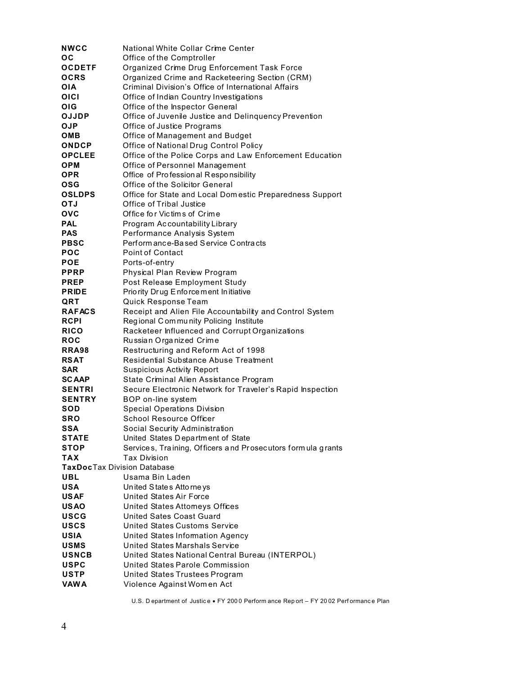| <b>NWCC</b>                        | National White Collar Crime Center                           |
|------------------------------------|--------------------------------------------------------------|
| ос                                 | Office of the Comptroller                                    |
| <b>OCDETF</b>                      | Organized Crime Drug Enforcement Task Force                  |
| <b>OCRS</b>                        | Organized Crime and Racketeering Section (CRM)               |
| OIA                                | Criminal Division's Office of International Affairs          |
| OICI                               | Office of Indian Country Investigations                      |
| OIG                                | Office of the Inspector General                              |
| <b>OJJDP</b>                       | Office of Juvenile Justice and Delinquency Prevention        |
| <b>OJP</b>                         | Office of Justice Programs                                   |
| омв                                | Office of Management and Budget                              |
| <b>ONDCP</b>                       | Office of National Drug Control Policy                       |
| <b>OPCLEE</b>                      | Office of the Police Corps and Law Enforcement Education     |
| OPM                                | Office of Personnel Management                               |
| OPR                                | Office of Profession al Responsibility                       |
| OSG                                | Office of the Solicitor General                              |
| <b>OSLDPS</b>                      | Office for State and Local Domestic Preparedness Support     |
| <b>OTJ</b>                         | Office of Tribal Justice                                     |
| <b>OVC</b>                         | Office for Victims of Crime                                  |
| PAL.                               | Program Accountability Library                               |
| <b>PAS</b>                         | Performance Analysis System                                  |
| <b>PBSC</b>                        | Perform ance-Based Service Contracts                         |
| POC                                | Point of Contact                                             |
| <b>POE</b>                         | Ports-of-entry                                               |
| <b>PPRP</b>                        | Physical Plan Review Program                                 |
| <b>PREP</b>                        | Post Release Employment Study                                |
| <b>PRIDE</b>                       | Priority Drug Enforce ment Initiative                        |
| QRT                                | Quick Response Team                                          |
| <b>RAFACS</b>                      | Receipt and Alien File Accountability and Control System     |
| <b>RCPI</b>                        | Regional C om munity Policing Institute                      |
| <b>RICO</b>                        | Racketeer Influenced and Corrupt Organizations               |
| <b>ROC</b>                         | Russian Organized Crime                                      |
| RRA98                              | Restructuring and Reform Act of 1998                         |
| <b>RSAT</b>                        | <b>Residential Substance Abuse Treatment</b>                 |
| SAR                                | <b>Suspicious Activity Report</b>                            |
| <b>SCAAP</b>                       | State Criminal Alien Assistance Program                      |
| <b>SENTRI</b>                      | Secure Electronic Network for Traveler's Rapid Inspection    |
| <b>SENTRY</b>                      | BOP on-line system                                           |
| SOD                                | <b>Special Operations Division</b>                           |
| SRO                                | <b>School Resource Officer</b>                               |
| SSA                                | Social Security Administration                               |
| <b>STATE</b>                       | United States Department of State                            |
| <b>STOP</b>                        | Services, Training, Officers and Prosecutors form ula grants |
| <b>TAX</b>                         | Tax Division                                                 |
| <b>TaxDocTax Division Database</b> |                                                              |
| UBL                                | Usama Bin Laden                                              |
| <b>USA</b>                         | United States Attorneys                                      |
| <b>USAF</b>                        | <b>United States Air Force</b>                               |
| <b>USAO</b>                        | <b>United States Attomeys Offices</b>                        |
| <b>USCG</b>                        | <b>United Sates Coast Guard</b>                              |
| <b>USCS</b>                        | <b>United States Customs Service</b>                         |
| <b>USIA</b>                        | <b>United States Information Agency</b>                      |
| <b>USMS</b>                        | United States Marshals Service                               |
| <b>USNCB</b>                       | United States National Central Bureau (INTERPOL)             |
| <b>USPC</b>                        | United States Parole Commission                              |
| <b>USTP</b>                        | United States Trustees Program                               |
| <b>VAWA</b>                        | Violence Against Women Act                                   |

U.S. Department of Justice FY 2000 Perform ance Report - FY 2002 Performance Plan